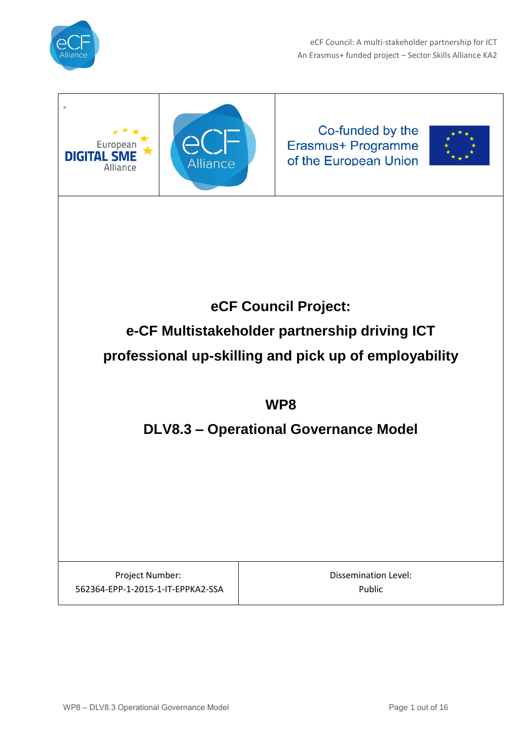

eCF Council: A multi-stakeholder partnership for ICT An Erasmus+ funded project – Sector Skills Alliance KA2

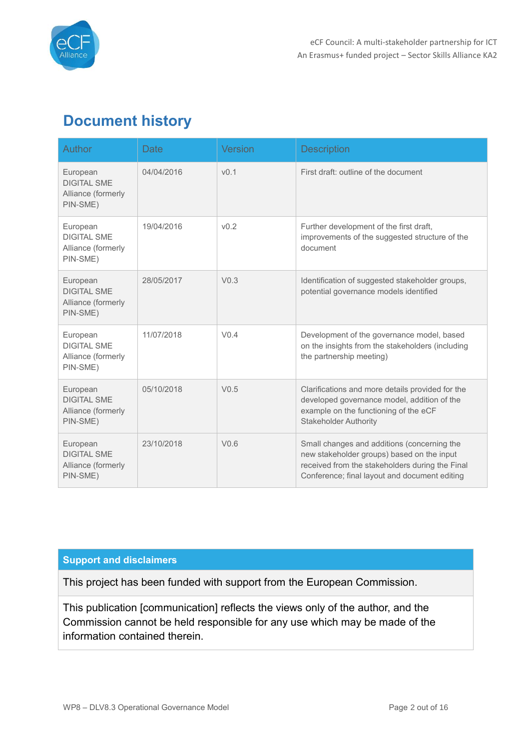

# **Document history**

| <b>Author</b>                                                    | Date       | <b>Version</b>   | <b>Description</b>                                                                                                                                                                            |  |
|------------------------------------------------------------------|------------|------------------|-----------------------------------------------------------------------------------------------------------------------------------------------------------------------------------------------|--|
| European<br><b>DIGITAL SME</b><br>Alliance (formerly<br>PIN-SME) | 04/04/2016 | v <sub>0.1</sub> | First draft: outline of the document                                                                                                                                                          |  |
| European<br><b>DIGITAL SME</b><br>Alliance (formerly<br>PIN-SME) | 19/04/2016 | v <sub>0.2</sub> | Further development of the first draft,<br>improvements of the suggested structure of the<br>document                                                                                         |  |
| European<br><b>DIGITAL SME</b><br>Alliance (formerly<br>PIN-SME) | 28/05/2017 | V <sub>0.3</sub> | Identification of suggested stakeholder groups,<br>potential governance models identified                                                                                                     |  |
| European<br><b>DIGITAL SMF</b><br>Alliance (formerly<br>PIN-SME) | 11/07/2018 | V <sub>0.4</sub> | Development of the governance model, based<br>on the insights from the stakeholders (including<br>the partnership meeting)                                                                    |  |
| European<br><b>DIGITAL SME</b><br>Alliance (formerly<br>PIN-SME) | 05/10/2018 | V <sub>0.5</sub> | Clarifications and more details provided for the<br>developed governance model, addition of the<br>example on the functioning of the eCF<br><b>Stakeholder Authority</b>                      |  |
| European<br><b>DIGITAL SME</b><br>Alliance (formerly<br>PIN-SME) | 23/10/2018 | V <sub>0.6</sub> | Small changes and additions (concerning the<br>new stakeholder groups) based on the input<br>received from the stakeholders during the Final<br>Conference; final layout and document editing |  |

#### **Support and disclaimers**

This project has been funded with support from the European Commission.

This publication [communication] reflects the views only of the author, and the Commission cannot be held responsible for any use which may be made of the information contained therein.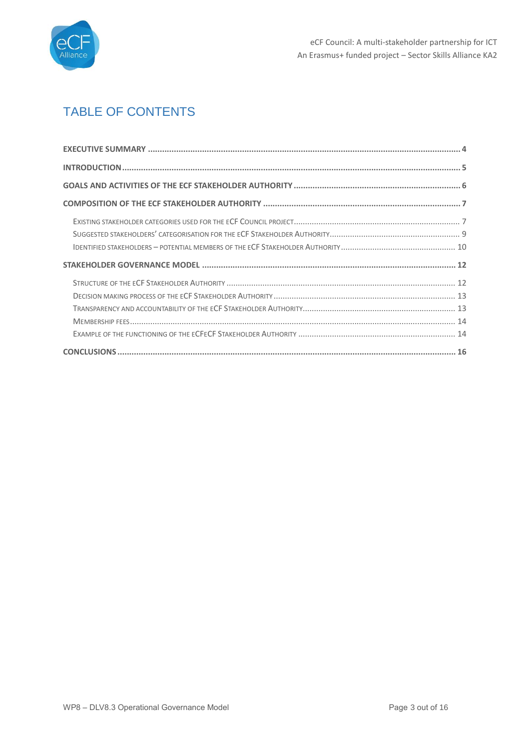

## TABLE OF CONTENTS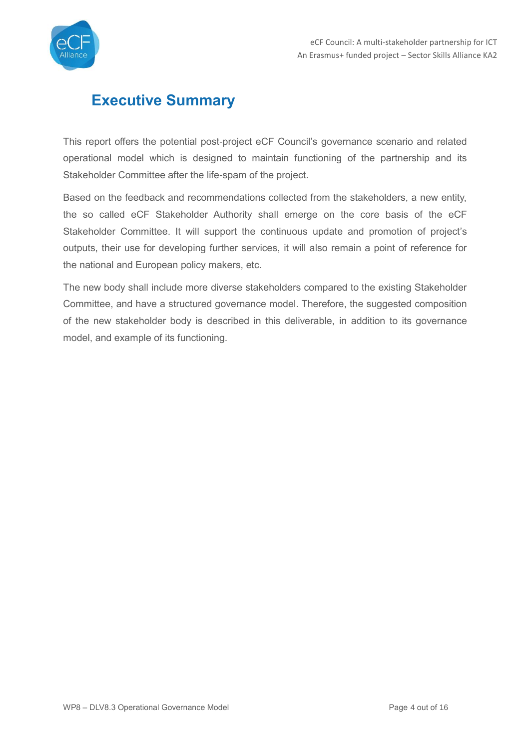

## <span id="page-3-0"></span>**Executive Summary**

This report offers the potential post-project eCF Council's governance scenario and related operational model which is designed to maintain functioning of the partnership and its Stakeholder Committee after the life-spam of the project.

Based on the feedback and recommendations collected from the stakeholders, a new entity, the so called eCF Stakeholder Authority shall emerge on the core basis of the eCF Stakeholder Committee. It will support the continuous update and promotion of project's outputs, their use for developing further services, it will also remain a point of reference for the national and European policy makers, etc.

The new body shall include more diverse stakeholders compared to the existing Stakeholder Committee, and have a structured governance model. Therefore, the suggested composition of the new stakeholder body is described in this deliverable, in addition to its governance model, and example of its functioning.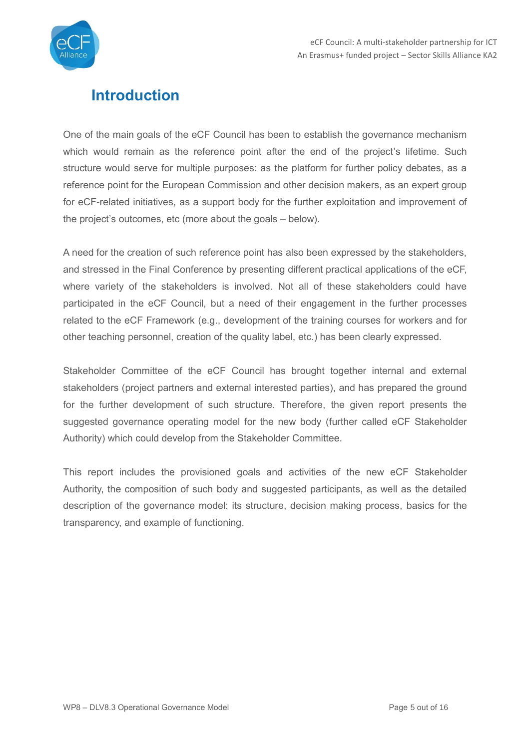

# <span id="page-4-0"></span>**Introduction**

One of the main goals of the eCF Council has been to establish the governance mechanism which would remain as the reference point after the end of the project's lifetime. Such structure would serve for multiple purposes: as the platform for further policy debates, as a reference point for the European Commission and other decision makers, as an expert group for eCF-related initiatives, as a support body for the further exploitation and improvement of the project's outcomes, etc (more about the goals – below).

A need for the creation of such reference point has also been expressed by the stakeholders, and stressed in the Final Conference by presenting different practical applications of the eCF, where variety of the stakeholders is involved. Not all of these stakeholders could have participated in the eCF Council, but a need of their engagement in the further processes related to the eCF Framework (e.g., development of the training courses for workers and for other teaching personnel, creation of the quality label, etc.) has been clearly expressed.

Stakeholder Committee of the eCF Council has brought together internal and external stakeholders (project partners and external interested parties), and has prepared the ground for the further development of such structure. Therefore, the given report presents the suggested governance operating model for the new body (further called eCF Stakeholder Authority) which could develop from the Stakeholder Committee.

This report includes the provisioned goals and activities of the new eCF Stakeholder Authority, the composition of such body and suggested participants, as well as the detailed description of the governance model: its structure, decision making process, basics for the transparency, and example of functioning.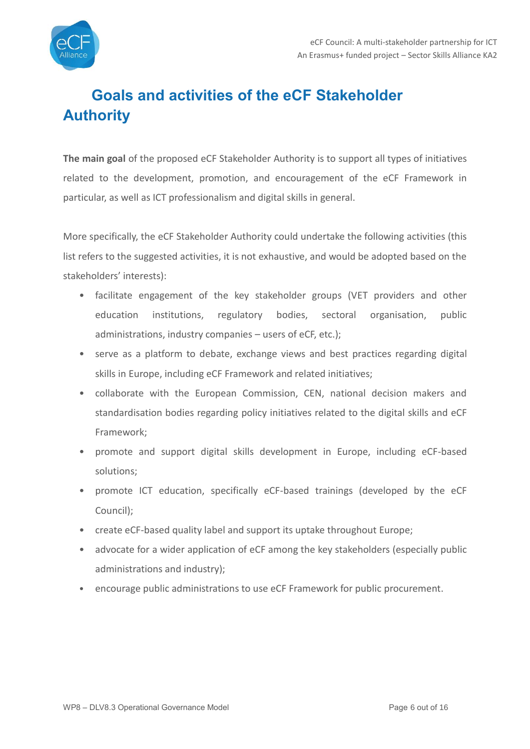

# <span id="page-5-0"></span>**Goals and activities of the eCF Stakeholder Authority**

**The main goal** of the proposed eCF Stakeholder Authority is to support all types of initiatives related to the development, promotion, and encouragement of the eCF Framework in particular, as well as ICT professionalism and digital skills in general.

More specifically, the eCF Stakeholder Authority could undertake the following activities (this list refers to the suggested activities, it is not exhaustive, and would be adopted based on the stakeholders' interests):

- facilitate engagement of the key stakeholder groups (VET providers and other education institutions, regulatory bodies, sectoral organisation, public administrations, industry companies – users of eCF, etc.);
- serve as a platform to debate, exchange views and best practices regarding digital skills in Europe, including eCF Framework and related initiatives;
- collaborate with the European Commission, CEN, national decision makers and standardisation bodies regarding policy initiatives related to the digital skills and eCF Framework;
- promote and support digital skills development in Europe, including eCF-based solutions;
- promote ICT education, specifically eCF-based trainings (developed by the eCF Council);
- create eCF-based quality label and support its uptake throughout Europe;
- advocate for a wider application of eCF among the key stakeholders (especially public administrations and industry);
- encourage public administrations to use eCF Framework for public procurement.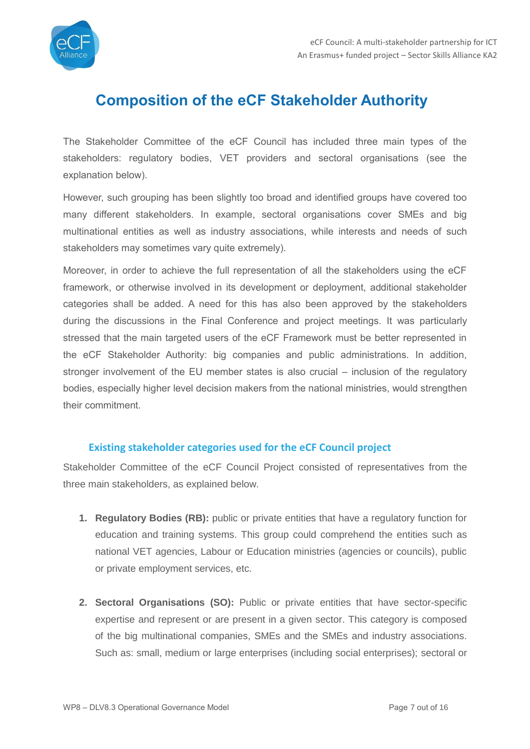

## <span id="page-6-0"></span>**Composition of the eCF Stakeholder Authority**

The Stakeholder Committee of the eCF Council has included three main types of the stakeholders: regulatory bodies, VET providers and sectoral organisations (see the explanation below).

However, such grouping has been slightly too broad and identified groups have covered too many different stakeholders. In example, sectoral organisations cover SMEs and big multinational entities as well as industry associations, while interests and needs of such stakeholders may sometimes vary quite extremely).

Moreover, in order to achieve the full representation of all the stakeholders using the eCF framework, or otherwise involved in its development or deployment, additional stakeholder categories shall be added. A need for this has also been approved by the stakeholders during the discussions in the Final Conference and project meetings. It was particularly stressed that the main targeted users of the eCF Framework must be better represented in the eCF Stakeholder Authority: big companies and public administrations. In addition, stronger involvement of the EU member states is also crucial – inclusion of the regulatory bodies, especially higher level decision makers from the national ministries, would strengthen their commitment.

#### **Existing stakeholder categories used for the eCF Council project**

<span id="page-6-1"></span>Stakeholder Committee of the eCF Council Project consisted of representatives from the three main stakeholders, as explained below.

- **1. Regulatory Bodies (RB):** public or private entities that have a regulatory function for education and training systems. This group could comprehend the entities such as national VET agencies, Labour or Education ministries (agencies or councils), public or private employment services, etc.
- **2. Sectoral Organisations (SO):** Public or private entities that have sector-specific expertise and represent or are present in a given sector. This category is composed of the big multinational companies, SMEs and the SMEs and industry associations. Such as: small, medium or large enterprises (including social enterprises); sectoral or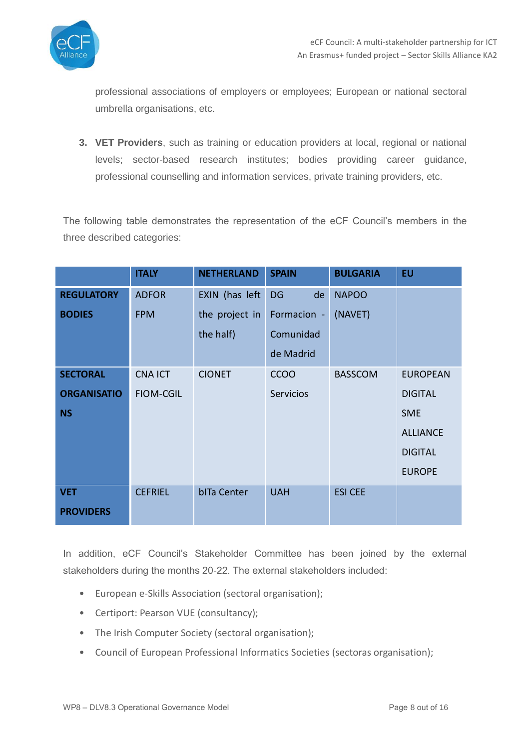

professional associations of employers or employees; European or national sectoral umbrella organisations, etc.

**3. VET Providers**, such as training or education providers at local, regional or national levels; sector-based research institutes; bodies providing career guidance, professional counselling and information services, private training providers, etc.

The following table demonstrates the representation of the eCF Council's members in the three described categories:

|                    | <b>ITALY</b>     | <b>NETHERLAND</b> | <b>SPAIN</b>    | <b>BULGARIA</b> | <b>EU</b>       |
|--------------------|------------------|-------------------|-----------------|-----------------|-----------------|
| <b>REGULATORY</b>  | <b>ADFOR</b>     | EXIN (has left    | <b>DG</b><br>de | <b>NAPOO</b>    |                 |
| <b>BODIES</b>      | <b>FPM</b>       | the project in    | Formacion -     | (NAVET)         |                 |
|                    |                  | the half)         | Comunidad       |                 |                 |
|                    |                  |                   | de Madrid       |                 |                 |
| <b>SECTORAL</b>    | <b>CNA ICT</b>   | <b>CIONET</b>     | <b>CCOO</b>     | <b>BASSCOM</b>  | <b>EUROPEAN</b> |
| <b>ORGANISATIO</b> | <b>FIOM-CGIL</b> |                   | Servicios       |                 | <b>DIGITAL</b>  |
| <b>NS</b>          |                  |                   |                 |                 | <b>SME</b>      |
|                    |                  |                   |                 |                 | <b>ALLIANCE</b> |
|                    |                  |                   |                 |                 | <b>DIGITAL</b>  |
|                    |                  |                   |                 |                 | <b>EUROPE</b>   |
| <b>VET</b>         | <b>CEFRIEL</b>   | bITa Center       | <b>UAH</b>      | <b>ESI CEE</b>  |                 |
| <b>PROVIDERS</b>   |                  |                   |                 |                 |                 |

In addition, eCF Council's Stakeholder Committee has been joined by the external stakeholders during the months 20-22. The external stakeholders included:

- European e-Skills Association (sectoral organisation);
- Certiport: Pearson VUE (consultancy);
- The Irish Computer Society (sectoral organisation);
- Council of European Professional Informatics Societies (sectoras organisation);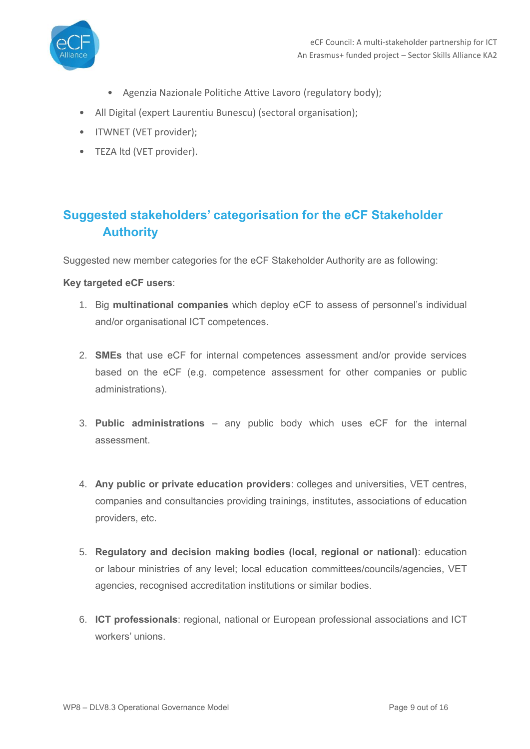

- Agenzia Nazionale Politiche Attive Lavoro (regulatory body);
- All Digital (expert Laurentiu Bunescu) (sectoral organisation);
- ITWNET (VET provider);
- <span id="page-8-0"></span>• TEZA ltd (VET provider).

## **Suggested stakeholders' categorisation for the eCF Stakeholder Authority**

Suggested new member categories for the eCF Stakeholder Authority are as following:

#### **Key targeted eCF users**:

- 1. Big **multinational companies** which deploy eCF to assess of personnel's individual and/or organisational ICT competences.
- 2. **SMEs** that use eCF for internal competences assessment and/or provide services based on the eCF (e.g. competence assessment for other companies or public administrations).
- 3. **Public administrations** any public body which uses eCF for the internal assessment.
- 4. **Any public or private education providers**: colleges and universities, VET centres, companies and consultancies providing trainings, institutes, associations of education providers, etc.
- 5. **Regulatory and decision making bodies (local, regional or national)**: education or labour ministries of any level; local education committees/councils/agencies, VET agencies, recognised accreditation institutions or similar bodies.
- 6. **ICT professionals**: regional, national or European professional associations and ICT workers' unions.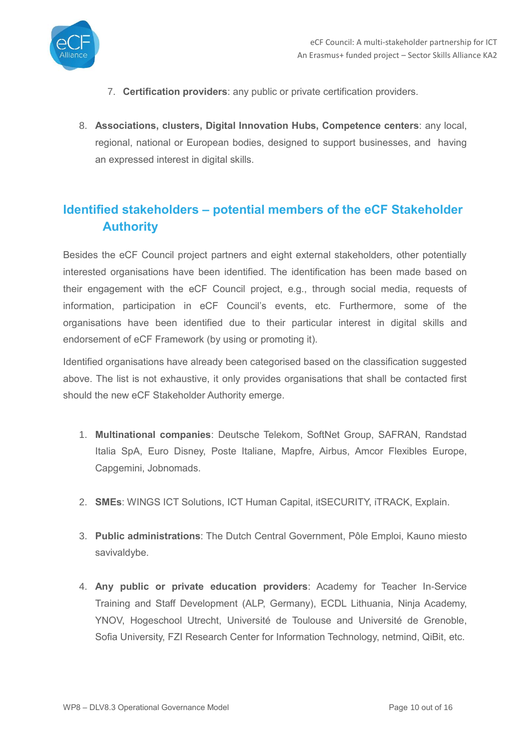

- 7. **Certification providers**: any public or private certification providers.
- 8. **Associations, clusters, Digital Innovation Hubs, Competence centers**: any local, regional, national or European bodies, designed to support businesses, and having an expressed interest in digital skills.

## <span id="page-9-0"></span>**Identified stakeholders – potential members of the eCF Stakeholder Authority**

Besides the eCF Council project partners and eight external stakeholders, other potentially interested organisations have been identified. The identification has been made based on their engagement with the eCF Council project, e.g., through social media, requests of information, participation in eCF Council's events, etc. Furthermore, some of the organisations have been identified due to their particular interest in digital skills and endorsement of eCF Framework (by using or promoting it).

Identified organisations have already been categorised based on the classification suggested above. The list is not exhaustive, it only provides organisations that shall be contacted first should the new eCF Stakeholder Authority emerge.

- 1. **Multinational companies**: Deutsche Telekom, SoftNet Group, SAFRAN, Randstad Italia SpA, Euro Disney, Poste Italiane, Mapfre, Airbus, Amcor Flexibles Europe, Capgemini, Jobnomads.
- 2. **SMEs**: WINGS ICT Solutions, ICT Human Capital, itSECURITY, iTRACK, Explain.
- 3. **Public administrations**: The Dutch Central Government, Pôle Emploi, Kauno miesto savivaldybe.
- 4. **Any public or private education providers**: Academy for Teacher In-Service Training and Staff Development (ALP, Germany), ECDL Lithuania, Ninja Academy, YNOV, Hogeschool Utrecht, Université de Toulouse and Université de Grenoble, Sofia University, FZI Research Center for Information Technology, netmind, QiBit, etc.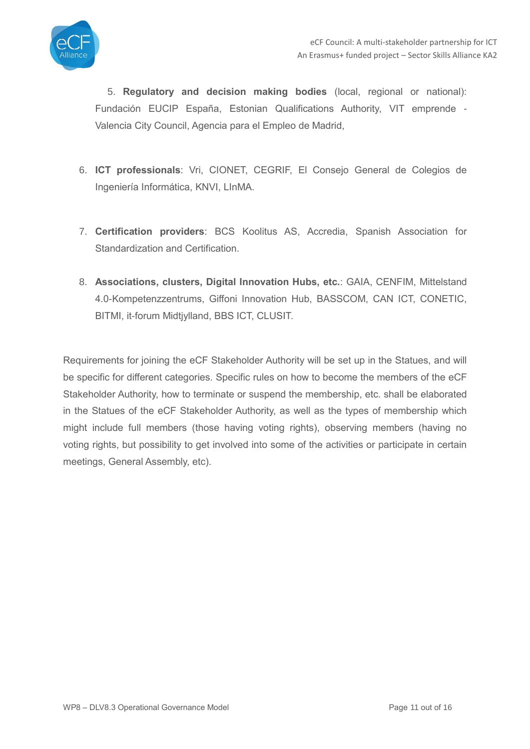

5. **Regulatory and decision making bodies** (local, regional or national): Fundación EUCIP España, Estonian Qualifications Authority, VIT emprende - Valencia City Council, Agencia para el Empleo de Madrid,

- 6. **ICT professionals**: Vri, CIONET, CEGRIF, El Consejo General de Colegios de Ingeniería Informática, KNVI, LInMA.
- 7. **Certification providers**: BCS Koolitus AS, Accredia, Spanish Association for Standardization and Certification.
- 8. **Associations, clusters, Digital Innovation Hubs, etc.**: GAIA, CENFIM, Mittelstand 4.0-Kompetenzzentrums, Giffoni Innovation Hub, BASSCOM, CAN ICT, CONETIC, BITMI, it-forum Midtjylland, BBS ICT, CLUSIT.

Requirements for joining the eCF Stakeholder Authority will be set up in the Statues, and will be specific for different categories. Specific rules on how to become the members of the eCF Stakeholder Authority, how to terminate or suspend the membership, etc. shall be elaborated in the Statues of the eCF Stakeholder Authority, as well as the types of membership which might include full members (those having voting rights), observing members (having no voting rights, but possibility to get involved into some of the activities or participate in certain meetings, General Assembly, etc).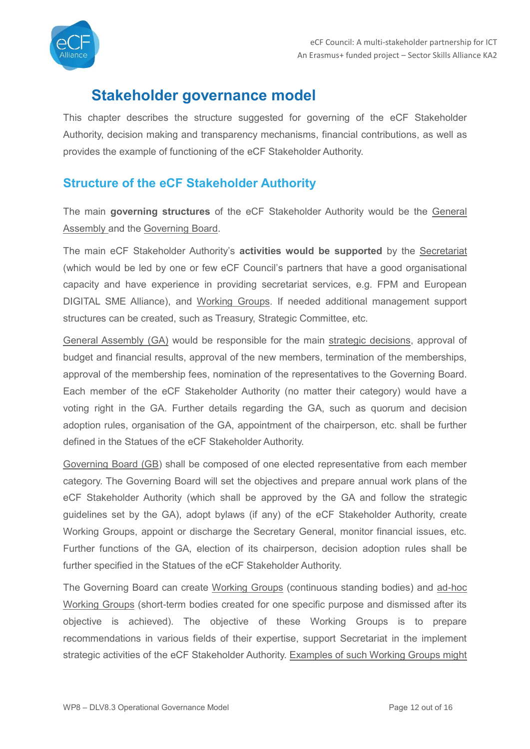

## <span id="page-11-0"></span>**Stakeholder governance model**

This chapter describes the structure suggested for governing of the eCF Stakeholder Authority, decision making and transparency mechanisms, financial contributions, as well as provides the example of functioning of the eCF Stakeholder Authority.

### <span id="page-11-1"></span>**Structure of the eCF Stakeholder Authority**

The main **governing structures** of the eCF Stakeholder Authority would be the General Assembly and the Governing Board.

The main eCF Stakeholder Authority's **activities would be supported** by the Secretariat (which would be led by one or few eCF Council's partners that have a good organisational capacity and have experience in providing secretariat services, e.g. FPM and European DIGITAL SME Alliance), and Working Groups. If needed additional management support structures can be created, such as Treasury, Strategic Committee, etc.

General Assembly (GA) would be responsible for the main strategic decisions, approval of budget and financial results, approval of the new members, termination of the memberships, approval of the membership fees, nomination of the representatives to the Governing Board. Each member of the eCF Stakeholder Authority (no matter their category) would have a voting right in the GA. Further details regarding the GA, such as quorum and decision adoption rules, organisation of the GA, appointment of the chairperson, etc. shall be further defined in the Statues of the eCF Stakeholder Authority.

Governing Board (GB) shall be composed of one elected representative from each member category. The Governing Board will set the objectives and prepare annual work plans of the eCF Stakeholder Authority (which shall be approved by the GA and follow the strategic guidelines set by the GA), adopt bylaws (if any) of the eCF Stakeholder Authority, create Working Groups, appoint or discharge the Secretary General, monitor financial issues, etc. Further functions of the GA, election of its chairperson, decision adoption rules shall be further specified in the Statues of the eCF Stakeholder Authority.

The Governing Board can create Working Groups (continuous standing bodies) and ad-hoc Working Groups (short-term bodies created for one specific purpose and dismissed after its objective is achieved). The objective of these Working Groups is to prepare recommendations in various fields of their expertise, support Secretariat in the implement strategic activities of the eCF Stakeholder Authority. Examples of such Working Groups might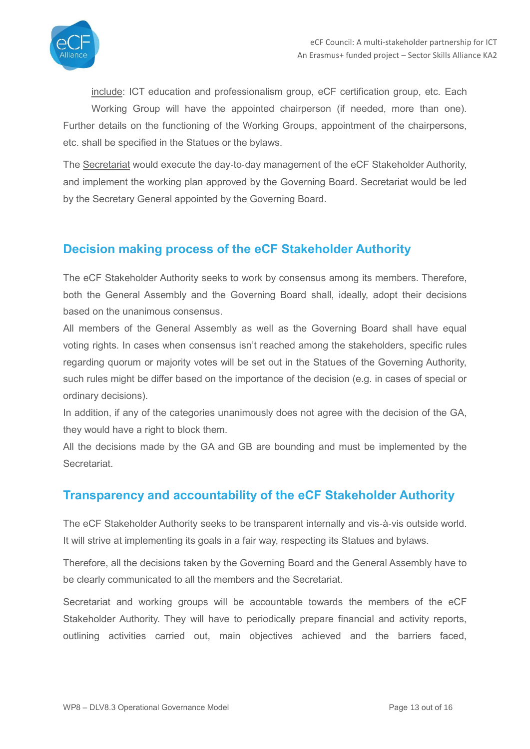

include: ICT education and professionalism group, eCF certification group, etc. Each

Working Group will have the appointed chairperson (if needed, more than one). Further details on the functioning of the Working Groups, appointment of the chairpersons, etc. shall be specified in the Statues or the bylaws.

The Secretariat would execute the day-to-day management of the eCF Stakeholder Authority, and implement the working plan approved by the Governing Board. Secretariat would be led by the Secretary General appointed by the Governing Board.

### <span id="page-12-0"></span>**Decision making process of the eCF Stakeholder Authority**

The eCF Stakeholder Authority seeks to work by consensus among its members. Therefore, both the General Assembly and the Governing Board shall, ideally, adopt their decisions based on the unanimous consensus.

All members of the General Assembly as well as the Governing Board shall have equal voting rights. In cases when consensus isn't reached among the stakeholders, specific rules regarding quorum or majority votes will be set out in the Statues of the Governing Authority, such rules might be differ based on the importance of the decision (e.g. in cases of special or ordinary decisions).

In addition, if any of the categories unanimously does not agree with the decision of the GA, they would have a right to block them.

All the decisions made by the GA and GB are bounding and must be implemented by the **Secretariat** 

## <span id="page-12-1"></span>**Transparency and accountability of the eCF Stakeholder Authority**

The eCF Stakeholder Authority seeks to be transparent internally and vis-à-vis outside world. It will strive at implementing its goals in a fair way, respecting its Statues and bylaws.

Therefore, all the decisions taken by the Governing Board and the General Assembly have to be clearly communicated to all the members and the Secretariat.

Secretariat and working groups will be accountable towards the members of the eCF Stakeholder Authority. They will have to periodically prepare financial and activity reports, outlining activities carried out, main objectives achieved and the barriers faced,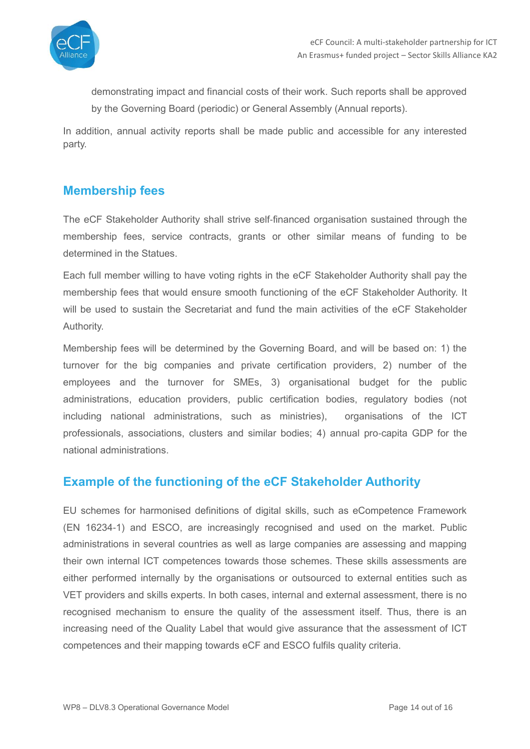

demonstrating impact and financial costs of their work. Such reports shall be approved by the Governing Board (periodic) or General Assembly (Annual reports).

In addition, annual activity reports shall be made public and accessible for any interested party.

### <span id="page-13-0"></span>**Membership fees**

The eCF Stakeholder Authority shall strive self-financed organisation sustained through the membership fees, service contracts, grants or other similar means of funding to be determined in the Statues.

Each full member willing to have voting rights in the eCF Stakeholder Authority shall pay the membership fees that would ensure smooth functioning of the eCF Stakeholder Authority. It will be used to sustain the Secretariat and fund the main activities of the eCF Stakeholder Authority.

Membership fees will be determined by the Governing Board, and will be based on: 1) the turnover for the big companies and private certification providers, 2) number of the employees and the turnover for SMEs, 3) organisational budget for the public administrations, education providers, public certification bodies, regulatory bodies (not including national administrations, such as ministries), organisations of the ICT professionals, associations, clusters and similar bodies; 4) annual pro‐capita GDP for the national administrations.

### <span id="page-13-1"></span>**Example of the functioning of the eCF Stakeholder Authority**

EU schemes for harmonised definitions of digital skills, such as eCompetence Framework (EN 16234-1) and ESCO, are increasingly recognised and used on the market. Public administrations in several countries as well as large companies are assessing and mapping their own internal ICT competences towards those schemes. These skills assessments are either performed internally by the organisations or outsourced to external entities such as VET providers and skills experts. In both cases, internal and external assessment, there is no recognised mechanism to ensure the quality of the assessment itself. Thus, there is an increasing need of the Quality Label that would give assurance that the assessment of ICT competences and their mapping towards eCF and ESCO fulfils quality criteria.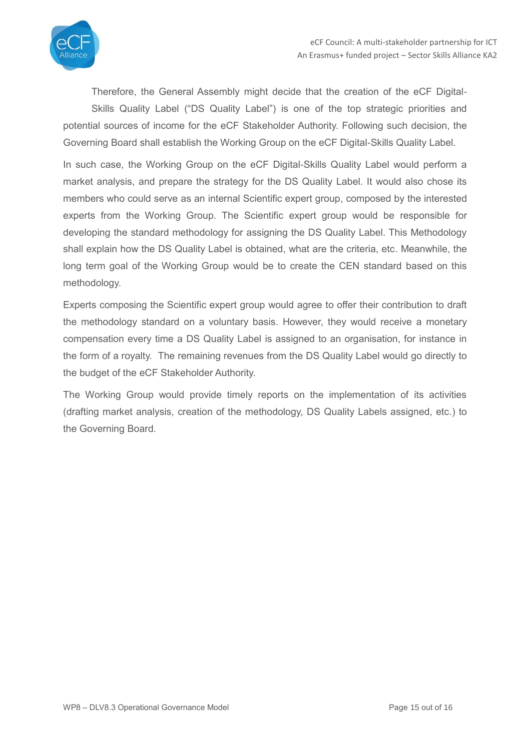

Therefore, the General Assembly might decide that the creation of the eCF Digital-Skills Quality Label ("DS Quality Label") is one of the top strategic priorities and potential sources of income for the eCF Stakeholder Authority. Following such decision, the Governing Board shall establish the Working Group on the eCF Digital-Skills Quality Label.

In such case, the Working Group on the eCF Digital-Skills Quality Label would perform a market analysis, and prepare the strategy for the DS Quality Label. It would also chose its members who could serve as an internal Scientific expert group, composed by the interested experts from the Working Group. The Scientific expert group would be responsible for developing the standard methodology for assigning the DS Quality Label. This Methodology shall explain how the DS Quality Label is obtained, what are the criteria, etc. Meanwhile, the long term goal of the Working Group would be to create the CEN standard based on this methodology.

Experts composing the Scientific expert group would agree to offer their contribution to draft the methodology standard on a voluntary basis. However, they would receive a monetary compensation every time a DS Quality Label is assigned to an organisation, for instance in the form of a royalty. The remaining revenues from the DS Quality Label would go directly to the budget of the eCF Stakeholder Authority.

The Working Group would provide timely reports on the implementation of its activities (drafting market analysis, creation of the methodology, DS Quality Labels assigned, etc.) to the Governing Board.